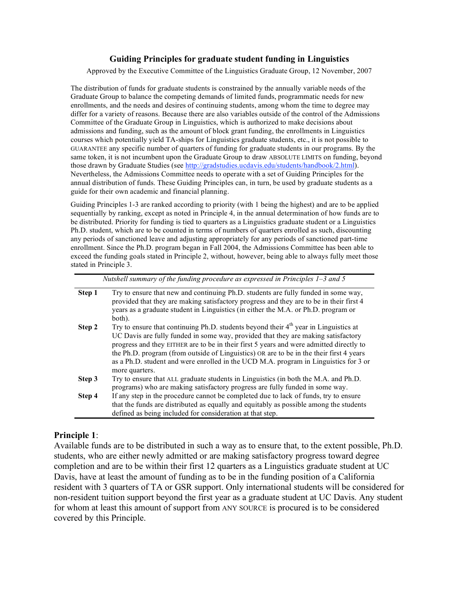#### **Guiding Principles for graduate student funding in Linguistics**

Approved by the Executive Committee of the Linguistics Graduate Group, 12 November, 2007

The distribution of funds for graduate students is constrained by the annually variable needs of the Graduate Group to balance the competing demands of limited funds, programmatic needs for new enrollments, and the needs and desires of continuing students, among whom the time to degree may differ for a variety of reasons. Because there are also variables outside of the control of the Admissions Committee of the Graduate Group in Linguistics, which is authorized to make decisions about admissions and funding, such as the amount of block grant funding, the enrollments in Linguistics courses which potentially yield TA-ships for Linguistics graduate students, etc., it is not possible to GUARANTEE any specific number of quarters of funding for graduate students in our programs. By the same token, it is not incumbent upon the Graduate Group to draw ABSOLUTE LIMITS on funding, beyond those drawn by Graduate Studies (see http://gradstudies.ucdavis.edu/students/handbook/2.html). Nevertheless, the Admissions Committee needs to operate with a set of Guiding Principles for the annual distribution of funds. These Guiding Principles can, in turn, be used by graduate students as a guide for their own academic and financial planning.

Guiding Principles 1-3 are ranked according to priority (with 1 being the highest) and are to be applied sequentially by ranking, except as noted in Principle 4, in the annual determination of how funds are to be distributed. Priority for funding is tied to quarters as a Linguistics graduate student or a Linguistics Ph.D. student, which are to be counted in terms of numbers of quarters enrolled as such, discounting any periods of sanctioned leave and adjusting appropriately for any periods of sanctioned part-time enrollment. Since the Ph.D. program began in Fall 2004, the Admissions Committee has been able to exceed the funding goals stated in Principle 2, without, however, being able to always fully meet those stated in Principle 3.

|        | Nutshell summary of the funding procedure as expressed in Principles $1-3$ and 5                                                                                                                                                                                                                                                                                                                                                                                            |
|--------|-----------------------------------------------------------------------------------------------------------------------------------------------------------------------------------------------------------------------------------------------------------------------------------------------------------------------------------------------------------------------------------------------------------------------------------------------------------------------------|
| Step 1 | Try to ensure that new and continuing Ph.D. students are fully funded in some way,<br>provided that they are making satisfactory progress and they are to be in their first 4<br>years as a graduate student in Linguistics (in either the M.A. or Ph.D. program or<br>both).                                                                                                                                                                                               |
| Step 2 | Try to ensure that continuing Ph.D. students beyond their $4th$ year in Linguistics at<br>UC Davis are fully funded in some way, provided that they are making satisfactory<br>progress and they EITHER are to be in their first 5 years and were admitted directly to<br>the Ph.D. program (from outside of Linguistics) OR are to be in the their first 4 years<br>as a Ph.D. student and were enrolled in the UCD M.A. program in Linguistics for 3 or<br>more quarters. |
| Step 3 | Try to ensure that ALL graduate students in Linguistics (in both the M.A. and Ph.D.<br>programs) who are making satisfactory progress are fully funded in some way.                                                                                                                                                                                                                                                                                                         |
| Step 4 | If any step in the procedure cannot be completed due to lack of funds, try to ensure<br>that the funds are distributed as equally and equitably as possible among the students<br>defined as being included for consideration at that step.                                                                                                                                                                                                                                 |

#### **Principle 1**:

Available funds are to be distributed in such a way as to ensure that, to the extent possible, Ph.D. students, who are either newly admitted or are making satisfactory progress toward degree completion and are to be within their first 12 quarters as a Linguistics graduate student at UC Davis, have at least the amount of funding as to be in the funding position of a California resident with 3 quarters of TA or GSR support. Only international students will be considered for non-resident tuition support beyond the first year as a graduate student at UC Davis. Any student for whom at least this amount of support from ANY SOURCE is procured is to be considered covered by this Principle.